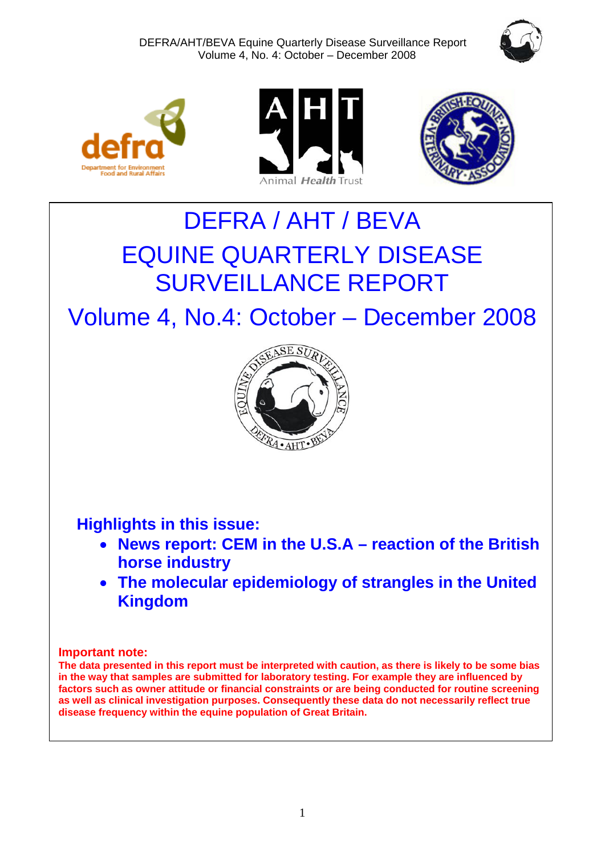







# DEFRA / AHT / BEVA EQUINE QUARTERLY DISEASE SURVEILLANCE REPORT

Volume 4, No.4: October – December 2008



**Highlights in this issue:** 

- **News report: CEM in the U.S.A reaction of the British horse industry**
- **The molecular epidemiology of strangles in the United Kingdom**

### **Important note:**

**The data presented in this report must be interpreted with caution, as there is likely to be some bias in the way that samples are submitted for laboratory testing. For example they are influenced by factors such as owner attitude or financial constraints or are being conducted for routine screening as well as clinical investigation purposes. Consequently these data do not necessarily reflect true disease frequency within the equine population of Great Britain.**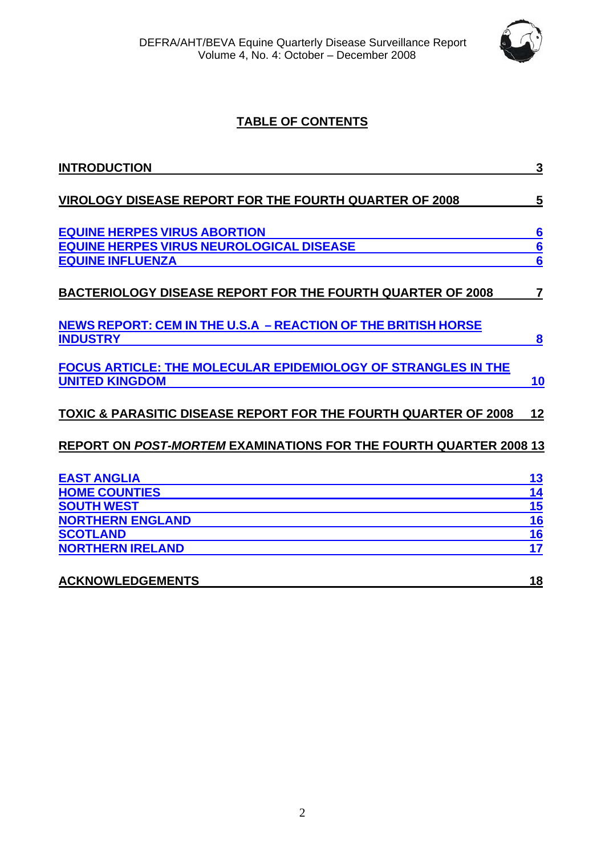

## **TABLE OF CONTENTS**

| <b>INTRODUCTION</b>                                                        | $\mathbf{3}$   |
|----------------------------------------------------------------------------|----------------|
|                                                                            |                |
| <b>VIROLOGY DISEASE REPORT FOR THE FOURTH QUARTER OF 2008</b>              | 5              |
| <b>EQUINE HERPES VIRUS ABORTION</b>                                        |                |
| <b>EQUINE HERPES VIRUS NEUROLOGICAL DISEASE</b>                            |                |
| <b>EQUINE INFLUENZA</b>                                                    | $\frac{6}{6}$  |
| <b>BACTERIOLOGY DISEASE REPORT FOR THE FOURTH QUARTER OF 2008</b>          | $\overline{7}$ |
| <u>NEWS REPORT: CEM IN THE U.S.A - REACTION OF THE BRITISH HORSE</u>       |                |
| <b>INDUSTRY</b>                                                            | 8              |
| <b>FOCUS ARTICLE: THE MOLECULAR EPIDEMIOLOGY OF STRANGLES IN THE</b>       |                |
| <b>UNITED KINGDOM</b>                                                      | 10             |
| <b>TOXIC &amp; PARASITIC DISEASE REPORT FOR THE FOURTH QUARTER OF 2008</b> | 12             |
| <b>REPORT ON POST-MORTEM EXAMINATIONS FOR THE FOURTH QUARTER 2008 13</b>   |                |
| <b>EAST ANGLIA</b>                                                         | <u> 13</u>     |
| <b>HOME COUNTIES</b>                                                       | 14             |
| <b>SOUTH WEST</b>                                                          | 15             |
| <b>NORTHERN ENGLAND</b>                                                    | <u>16</u>      |
| <b>SCOTLAND</b>                                                            | 16             |
| <b>NORTHERN IRELAND</b>                                                    | 17             |
| <b>ACKNOWLEDGEMENTS</b>                                                    | 18             |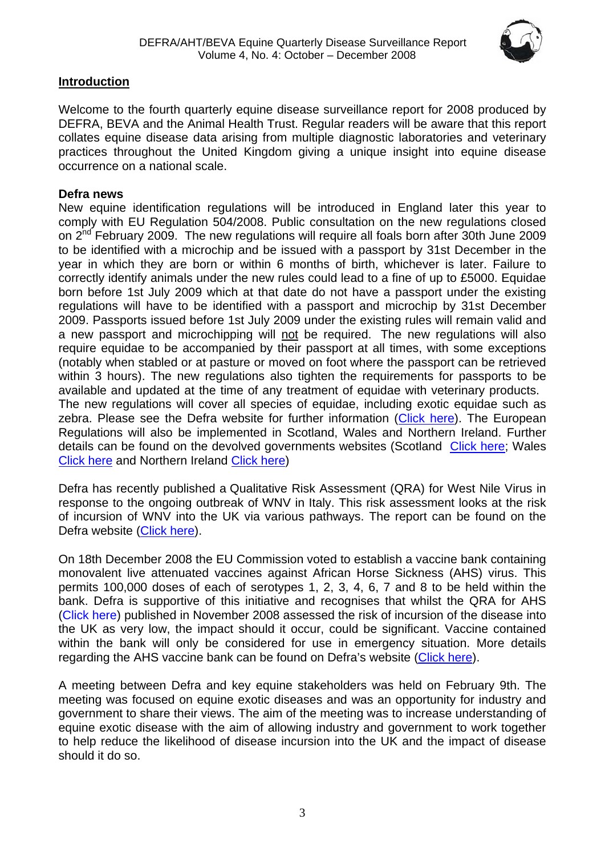

### **Introduction**

Welcome to the fourth quarterly equine disease surveillance report for 2008 produced by DEFRA, BEVA and the Animal Health Trust. Regular readers will be aware that this report collates equine disease data arising from multiple diagnostic laboratories and veterinary practices throughout the United Kingdom giving a unique insight into equine disease occurrence on a national scale.

### **Defra news**

New equine identification regulations will be introduced in England later this year to comply with EU Regulation 504/2008. Public consultation on the new regulations closed on 2<sup>nd</sup> February 2009. The new regulations will require all foals born after 30th June 2009 to be identified with a microchip and be issued with a passport by 31st December in the year in which they are born or within 6 months of birth, whichever is later. Failure to correctly identify animals under the new rules could lead to a fine of up to £5000. Equidae born before 1st July 2009 which at that date do not have a passport under the existing regulations will have to be identified with a passport and microchip by 31st December 2009. Passports issued before 1st July 2009 under the existing rules will remain valid and a new passport and microchipping will not be required. The new regulations will also require equidae to be accompanied by their passport at all times, with some exceptions (notably when stabled or at pasture or moved on foot where the passport can be retrieved within 3 hours). The new regulations also tighten the requirements for passports to be available and updated at the time of any treatment of equidae with veterinary products. The new regulations will cover all species of equidae, including exotic equidae such as zebra. Please see the Defra website for further information [\(Click here](http://www.defra.gov.uk/corporate/consult/equine-id/q-and-a.htm)). The European Regulations will also be implemented in Scotland, Wales and Northern Ireland. Further details can be found on the devolved governments websites (Scotland [Click here](http://www.scotland.gov.uk/Publications/2009/02/04114456/1); Wales [Click here](http://new.wales.gov.uk/publications/accessinfo/drnewhomepage/environmentdrs2/environmentdrs2008/2768471/?lang=en) and Northern Ireland [Click here\)](http://www.dardni.gov.uk/index/consultations/active-consultations/consultations-consultation-on-revised-equine-identification-legislation.htm)

Defra has recently published a Qualitative Risk Assessment (QRA) for West Nile Virus in response to the ongoing outbreak of WNV in Italy. This risk assessment looks at the risk of incursion of WNV into the UK via various pathways. The report can be found on the Defra website [\(Click here\)](http://www.defra.gov.uk/animalh/diseases/monitoring/pdf/qra-wnv-090210.pdf).

On 18th December 2008 the EU Commission voted to establish a vaccine bank containing monovalent live attenuated vaccines against African Horse Sickness (AHS) virus. This permits 100,000 doses of each of serotypes 1, 2, 3, 4, 6, 7 and 8 to be held within the bank. Defra is supportive of this initiative and recognises that whilst the QRA for AHS ([Click here\)](http://www.defra.gov.uk/animalh/diseases/monitoring/pdf/ahs_uk081106.pdf) published in November 2008 assessed the risk of incursion of the disease into the UK as very low, the impact should it occur, could be significant. Vaccine contained within the bank will only be considered for use in emergency situation. More details regarding the AHS vaccine bank can be found on Defra's website ([Click here](http://www.defra.gov.uk/animalh/diseases/notifiable/africanhorse/index.htm)).

A meeting between Defra and key equine stakeholders was held on February 9th. The meeting was focused on equine exotic diseases and was an opportunity for industry and government to share their views. The aim of the meeting was to increase understanding of equine exotic disease with the aim of allowing industry and government to work together to help reduce the likelihood of disease incursion into the UK and the impact of disease should it do so.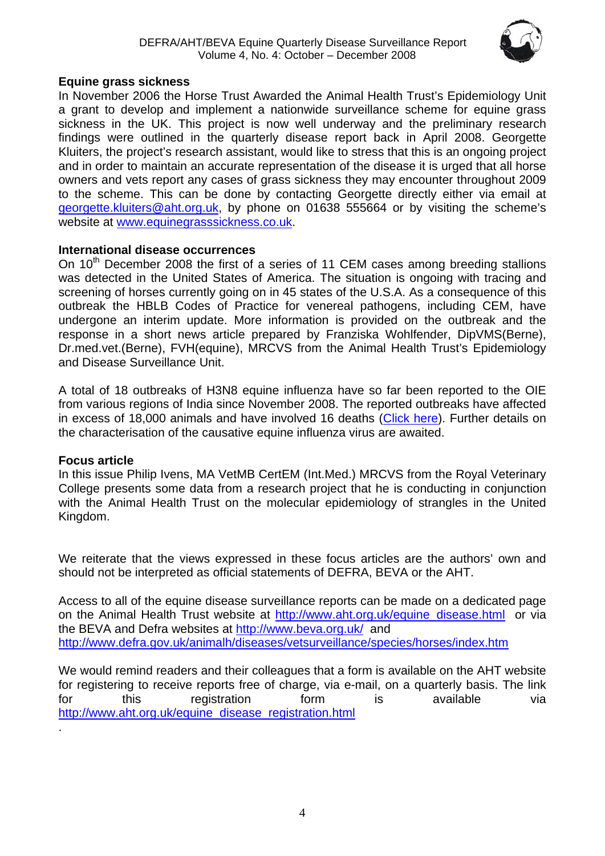

### **Equine grass sickness**

In November 2006 the Horse Trust Awarded the Animal Health Trust's Epidemiology Unit a grant to develop and implement a nationwide surveillance scheme for equine grass sickness in the UK. This project is now well underway and the preliminary research findings were outlined in the quarterly disease report back in April 2008. Georgette Kluiters, the project's research assistant, would like to stress that this is an ongoing project and in order to maintain an accurate representation of the disease it is urged that all horse owners and vets report any cases of grass sickness they may encounter throughout 2009 to the scheme. This can be done by contacting Georgette directly either via email at [georgette.kluiters@aht.org.uk](mailto:georgette.kluiters@aht.org.uk), by phone on 01638 555664 or by visiting the scheme's website at [www.equinegrasssickness.co.uk.](http://www.equinegrasssickness.co.uk/)

### **International disease occurrences**

On 10<sup>th</sup> December 2008 the first of a series of 11 CEM cases among breeding stallions was detected in the United States of America. The situation is ongoing with tracing and screening of horses currently going on in 45 states of the U.S.A. As a consequence of this outbreak the HBLB Codes of Practice for venereal pathogens, including CEM, have undergone an interim update. More information is provided on the outbreak and the response in a short news article prepared by Franziska Wohlfender, DipVMS(Berne), Dr.med.vet.(Berne), FVH(equine), MRCVS from the Animal Health Trust's Epidemiology and Disease Surveillance Unit.

A total of 18 outbreaks of H3N8 equine influenza have so far been reported to the OIE from various regions of India since November 2008. The reported outbreaks have affected in excess of 18,000 animals and have involved 16 deaths [\(Click here](http://www.oie.int/wahis/public.php?page=disease_immediate_summary&disease_type=Terrestrial&disease_id=61&empty=999999)). Further details on the characterisation of the causative equine influenza virus are awaited.

### **Focus article**

.

In this issue Philip Ivens, MA VetMB CertEM (Int.Med.) MRCVS from the Royal Veterinary College presents some data from a research project that he is conducting in conjunction with the Animal Health Trust on the molecular epidemiology of strangles in the United Kingdom.

We reiterate that the views expressed in these focus articles are the authors' own and should not be interpreted as official statements of DEFRA, BEVA or the AHT.

Access to all of the equine disease surveillance reports can be made on a dedicated page on the Animal Health Trust website at http://www.aht.org.uk/equine disease.html or via the BEVA and Defra websites at<http://www.beva.org.uk/>and <http://www.defra.gov.uk/animalh/diseases/vetsurveillance/species/horses/index.htm>

We would remind readers and their colleagues that a form is available on the AHT website for registering to receive reports free of charge, via e-mail, on a quarterly basis. The link for this registration form is available via [http://www.aht.org.uk/equine\\_disease\\_registration.html](http://www.aht.org.uk/equine_disease_registration.html)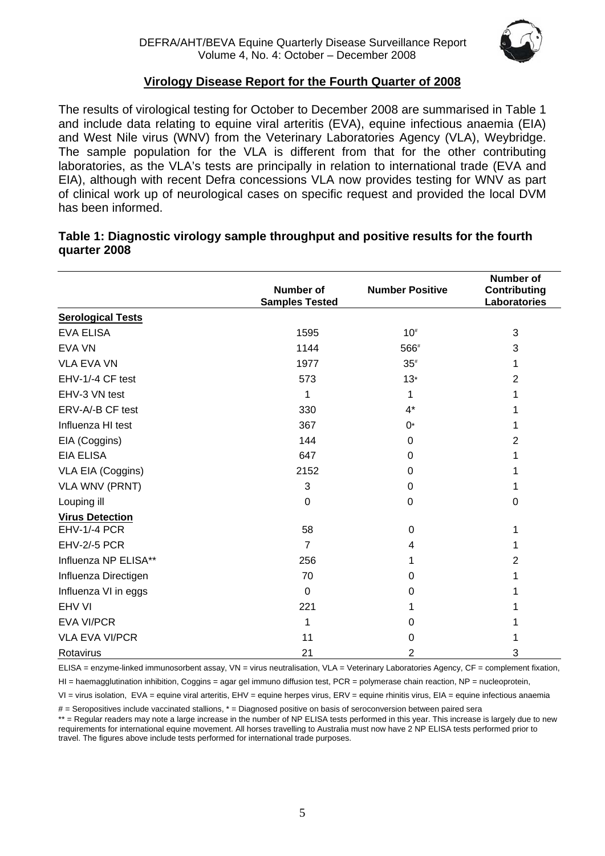

### **Virology Disease Report for the Fourth Quarter of 2008**

The results of virological testing for October to December 2008 are summarised in Table 1 and include data relating to equine viral arteritis (EVA), equine infectious anaemia (EIA) and West Nile virus (WNV) from the Veterinary Laboratories Agency (VLA), Weybridge. The sample population for the VLA is different from that for the other contributing laboratories, as the VLA's tests are principally in relation to international trade (EVA and EIA), although with recent Defra concessions VLA now provides testing for WNV as part of clinical work up of neurological cases on specific request and provided the local DVM has been informed.

### **Table 1: Diagnostic virology sample throughput and positive results for the fourth quarter 2008**

|                          |                                    |                                  | <b>Number of</b>                    |
|--------------------------|------------------------------------|----------------------------------|-------------------------------------|
|                          | Number of<br><b>Samples Tested</b> | <b>Number Positive</b>           | <b>Contributing</b><br>Laboratories |
| <b>Serological Tests</b> |                                    |                                  |                                     |
| <b>EVA ELISA</b>         | 1595                               | 10 <sup>#</sup>                  | 3                                   |
| EVA VN                   | 1144                               | 566#                             | 3                                   |
| <b>VLA EVA VN</b>        | 1977                               | $35^{\rm \scriptscriptstyle th}$ | 1                                   |
| EHV-1/-4 CF test         | 573                                | $13*$                            | 2                                   |
| EHV-3 VN test            | 1                                  | 1                                |                                     |
| ERV-A/-B CF test         | 330                                | $4^*$                            |                                     |
| Influenza HI test        | 367                                | 0*                               |                                     |
| EIA (Coggins)            | 144                                | 0                                | 2                                   |
| <b>EIA ELISA</b>         | 647                                | 0                                |                                     |
| VLA EIA (Coggins)        | 2152                               | 0                                | 1                                   |
| <b>VLA WNV (PRNT)</b>    | 3                                  | 0                                | 1                                   |
| Louping ill              | $\Omega$                           | 0                                | $\Omega$                            |
| <b>Virus Detection</b>   |                                    |                                  |                                     |
| EHV-1/-4 PCR             | 58                                 | $\mathbf 0$                      | 1                                   |
| <b>EHV-2/-5 PCR</b>      | $\overline{7}$                     | 4                                | 1                                   |
| Influenza NP ELISA**     | 256                                | 1                                | 2                                   |
| Influenza Directigen     | 70                                 | 0                                | 1                                   |
| Influenza VI in eggs     | $\mathbf 0$                        | 0                                | 1                                   |
| <b>EHV VI</b>            | 221                                | 1                                |                                     |
| <b>EVA VI/PCR</b>        | 1                                  | 0                                |                                     |
| <b>VLA EVA VI/PCR</b>    | 11                                 | 0                                | 1                                   |
| Rotavirus                | 21                                 | $\overline{2}$                   | 3                                   |

ELISA = enzyme-linked immunosorbent assay, VN = virus neutralisation, VLA = Veterinary Laboratories Agency, CF = complement fixation,

HI = haemagglutination inhibition, Coggins = agar gel immuno diffusion test, PCR = polymerase chain reaction, NP = nucleoprotein,

VI = virus isolation, EVA = equine viral arteritis, EHV = equine herpes virus, ERV = equine rhinitis virus, EIA = equine infectious anaemia

# = Seropositives include vaccinated stallions, \* = Diagnosed positive on basis of seroconversion between paired sera

\*\* = Regular readers may note a large increase in the number of NP ELISA tests performed in this year. This increase is largely due to new requirements for international equine movement. All horses travelling to Australia must now have 2 NP ELISA tests performed prior to travel. The figures above include tests performed for international trade purposes.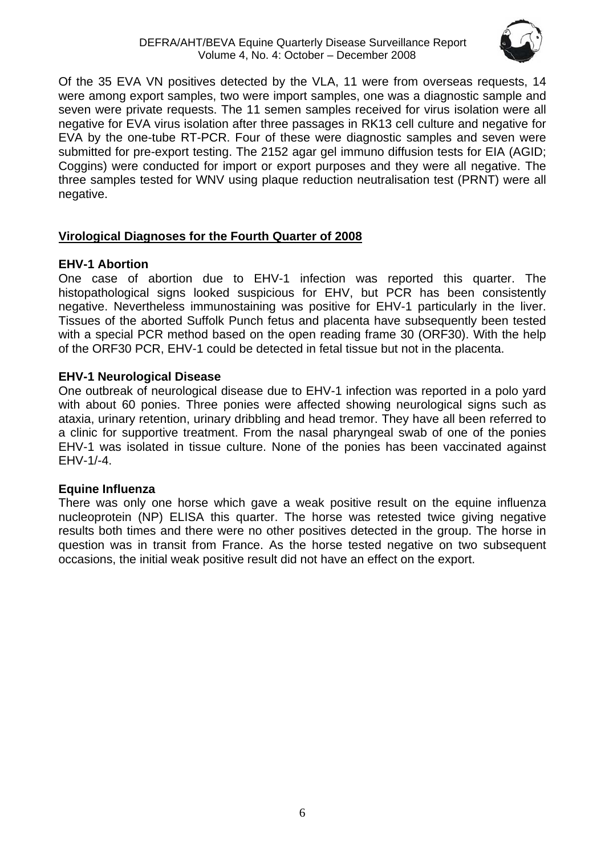

Of the 35 EVA VN positives detected by the VLA, 11 were from overseas requests, 14 were among export samples, two were import samples, one was a diagnostic sample and seven were private requests. The 11 semen samples received for virus isolation were all negative for EVA virus isolation after three passages in RK13 cell culture and negative for EVA by the one-tube RT-PCR. Four of these were diagnostic samples and seven were submitted for pre-export testing. The 2152 agar gel immuno diffusion tests for EIA (AGID; Coggins) were conducted for import or export purposes and they were all negative. The three samples tested for WNV using plaque reduction neutralisation test (PRNT) were all negative.

### **Virological Diagnoses for the Fourth Quarter of 2008**

### **EHV-1 Abortion**

One case of abortion due to EHV-1 infection was reported this quarter. The histopathological signs looked suspicious for EHV, but PCR has been consistently negative. Nevertheless immunostaining was positive for EHV-1 particularly in the liver. Tissues of the aborted Suffolk Punch fetus and placenta have subsequently been tested with a special PCR method based on the open reading frame 30 (ORF30). With the help of the ORF30 PCR, EHV-1 could be detected in fetal tissue but not in the placenta.

### **EHV-1 Neurological Disease**

One outbreak of neurological disease due to EHV-1 infection was reported in a polo yard with about 60 ponies. Three ponies were affected showing neurological signs such as ataxia, urinary retention, urinary dribbling and head tremor. They have all been referred to a clinic for supportive treatment. From the nasal pharyngeal swab of one of the ponies EHV-1 was isolated in tissue culture. None of the ponies has been vaccinated against EHV-1/-4.

### **Equine Influenza**

There was only one horse which gave a weak positive result on the equine influenza nucleoprotein (NP) ELISA this quarter. The horse was retested twice giving negative results both times and there were no other positives detected in the group. The horse in question was in transit from France. As the horse tested negative on two subsequent occasions, the initial weak positive result did not have an effect on the export.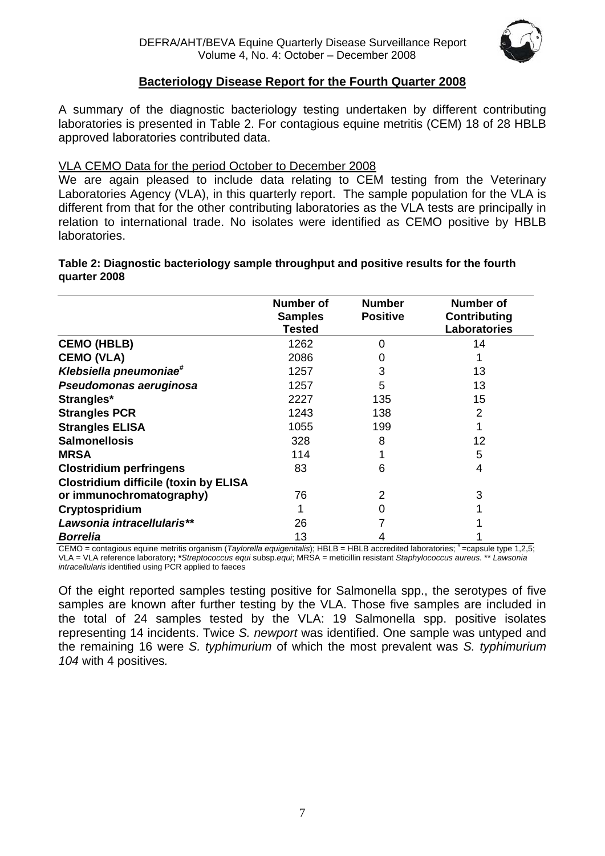

### **Bacteriology Disease Report for the Fourth Quarter 2008**

A summary of the diagnostic bacteriology testing undertaken by different contributing laboratories is presented in Table 2. For contagious equine metritis (CEM) 18 of 28 HBLB approved laboratories contributed data.

### VLA CEMO Data for the period October to December 2008

We are again pleased to include data relating to CEM testing from the Veterinary Laboratories Agency (VLA), in this quarterly report. The sample population for the VLA is different from that for the other contributing laboratories as the VLA tests are principally in relation to international trade. No isolates were identified as CEMO positive by HBLB laboratories.

#### **Table 2: Diagnostic bacteriology sample throughput and positive results for the fourth quarter 2008**

|                                              | Number of<br><b>Samples</b><br>Tested | <b>Number</b><br><b>Positive</b> | Number of<br>Contributing<br><b>Laboratories</b> |
|----------------------------------------------|---------------------------------------|----------------------------------|--------------------------------------------------|
| <b>CEMO (HBLB)</b>                           | 1262                                  | 0                                | 14                                               |
| <b>CEMO (VLA)</b>                            | 2086                                  | 0                                |                                                  |
| Klebsiella pneumoniae <sup>#</sup>           | 1257                                  | 3                                | 13                                               |
| Pseudomonas aeruginosa                       | 1257                                  | 5                                | 13                                               |
| Strangles*                                   | 2227                                  | 135                              | 15                                               |
| <b>Strangles PCR</b>                         | 1243                                  | 138                              | 2                                                |
| <b>Strangles ELISA</b>                       | 1055                                  | 199                              |                                                  |
| <b>Salmonellosis</b>                         | 328                                   | 8                                | 12                                               |
| <b>MRSA</b>                                  | 114                                   |                                  | 5                                                |
| <b>Clostridium perfringens</b>               | 83                                    | 6                                | 4                                                |
| <b>Clostridium difficile (toxin by ELISA</b> |                                       |                                  |                                                  |
| or immunochromatography)                     | 76                                    | 2                                | 3                                                |
| Cryptospridium                               |                                       | 0                                |                                                  |
| Lawsonia intracellularis**                   | 26                                    |                                  |                                                  |
| <b>Borrelia</b>                              | 13                                    |                                  |                                                  |

CEMO = contagious equine metritis organism (*Taylorella equigenitalis*); HBLB = HBLB accredited laboratories: # = capsule type 1.2.5; VLA = VLA reference laboratory**; \****Streptococcus equi* subsp*.equi*; MRSA = meticillin resistant *Staphylococcus aureus.* \*\* *Lawsonia intracellularis* identified using PCR applied to faeces

Of the eight reported samples testing positive for Salmonella spp., the serotypes of five samples are known after further testing by the VLA. Those five samples are included in the total of 24 samples tested by the VLA: 19 Salmonella spp. positive isolates representing 14 incidents. Twice *S. newport* was identified. One sample was untyped and the remaining 16 were *S. typhimurium* of which the most prevalent was *S. typhimurium 104* with 4 positives*.*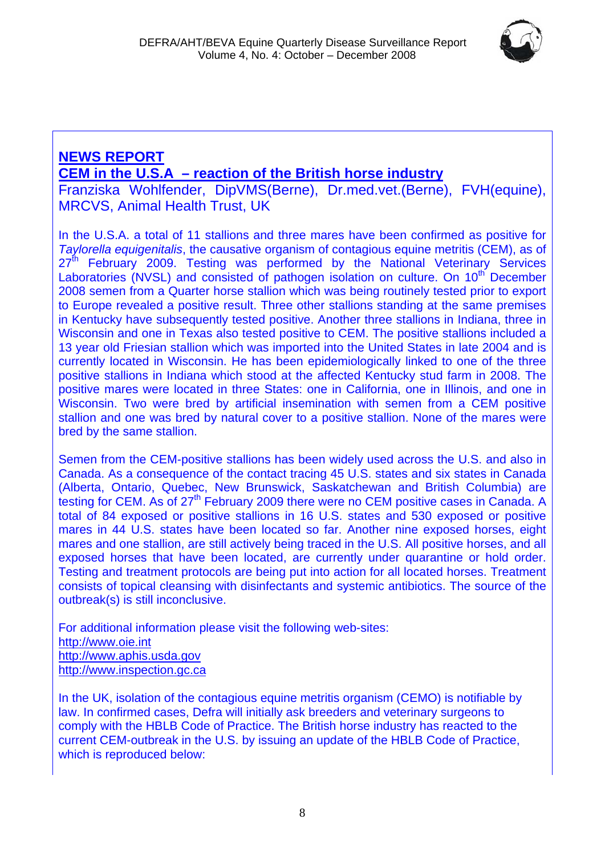

# **NEWS REPORT CEM in the U.S.A – reaction of the British horse industry**

Franziska Wohlfender, DipVMS(Berne), Dr.med.vet.(Berne), FVH(equine), MRCVS, Animal Health Trust, UK

In the U.S.A. a total of 11 stallions and three mares have been confirmed as positive for *Taylorella equigenitalis*, the causative organism of contagious equine metritis (CEM), as of 27<sup>th</sup> February 2009. Testing was performed by the National Veterinary Services Laboratories (NVSL) and consisted of pathogen isolation on culture. On 10<sup>th</sup> December 2008 semen from a Quarter horse stallion which was being routinely tested prior to export to Europe revealed a positive result. Three other stallions standing at the same premises in Kentucky have subsequently tested positive. Another three stallions in Indiana, three in Wisconsin and one in Texas also tested positive to CEM. The positive stallions included a 13 year old Friesian stallion which was imported into the United States in late 2004 and is currently located in Wisconsin. He has been epidemiologically linked to one of the three positive stallions in Indiana which stood at the affected Kentucky stud farm in 2008. The positive mares were located in three States: one in California, one in Illinois, and one in Wisconsin. Two were bred by artificial insemination with semen from a CEM positive stallion and one was bred by natural cover to a positive stallion. None of the mares were bred by the same stallion.

Semen from the CEM-positive stallions has been widely used across the U.S. and also in Canada. As a consequence of the contact tracing 45 U.S. states and six states in Canada (Alberta, Ontario, Quebec, New Brunswick, Saskatchewan and British Columbia) are testing for CEM. As of 27<sup>th</sup> February 2009 there were no CEM positive cases in Canada. A total of 84 exposed or positive stallions in 16 U.S. states and 530 exposed or positive mares in 44 U.S. states have been located so far. Another nine exposed horses, eight mares and one stallion, are still actively being traced in the U.S. All positive horses, and all exposed horses that have been located, are currently under quarantine or hold order. Testing and treatment protocols are being put into action for all located horses. Treatment consists of topical cleansing with disinfectants and systemic antibiotics. The source of the outbreak(s) is still inconclusive.

For additional information please visit the following web-sites: http://[www.oie.int](http://www.oie.int/)  [http://www.aphis.usda.gov](http://www.aphis.usda.gov/) http://www.inspection.gc.ca

In the UK, isolation of the contagious equine metritis organism (CEMO) is notifiable by law. In confirmed cases, Defra will initially ask breeders and veterinary surgeons to comply with the HBLB Code of Practice. The British horse industry has reacted to the current CEM-outbreak in the U.S. by issuing an update of the HBLB Code of Practice, which is reproduced below: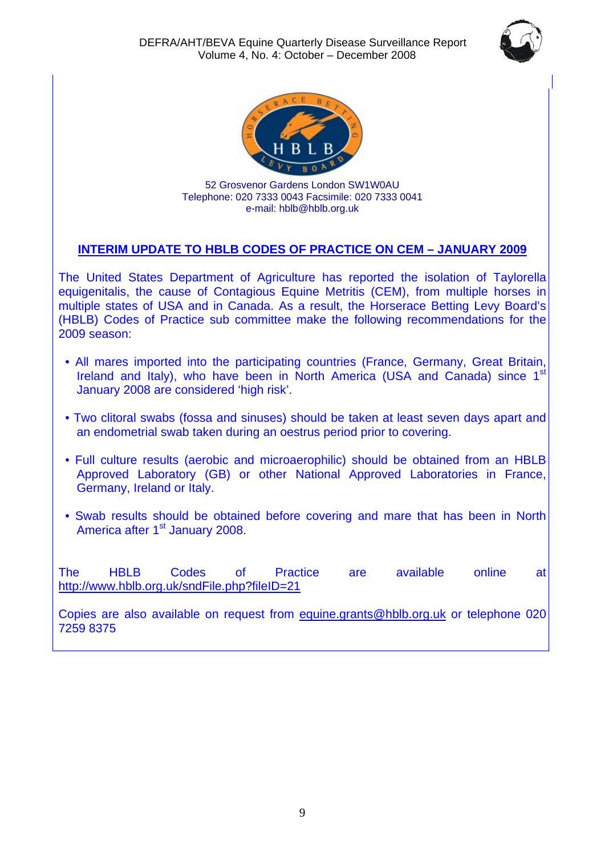



52 Grosvenor Gardens London SW1W0AU Telephone: 020 7333 0043 Facsimile: 020 7333 0041 e-mail: hblb@hblb.org.uk

### **INTERIM UPDATE TO HBLB CODES OF PRACTICE ON CEM – JANUARY 2009**

The United States Department of Agriculture has reported the isolation of Taylorella equigenitalis, the cause of Contagious Equine Metritis (CEM), from multiple horses in multiple states of USA and in Canada. As a result, the Horserace Betting Levy Board's (HBLB) Codes of Practice sub committee make the following recommendations for the 2009 season:

- All mares imported into the participating countries (France, Germany, Great Britain, Ireland and Italy), who have been in North America (USA and Canada) since 1<sup>st</sup> January 2008 are considered 'high risk'.
- Two clitoral swabs (fossa and sinuses) should be taken at least seven days apart and an endometrial swab taken during an oestrus period prior to covering.
- Full culture results (aerobic and microaerophilic) should be obtained from an HBLB Approved Laboratory (GB) or other National Approved Laboratories in France, Germany, Ireland or Italy.
- Swab results should be obtained before covering and mare that has been in North America after 1<sup>st</sup> January 2008.

The HBLB Codes of Practice are available online at <http://www.hblb.org.uk/sndFile.php?fileID=21>

Copies are also available on request from [equine.grants@hblb.org.uk](mailto:equine.grants@hblb.org.uk) or telephone 020 7259 8375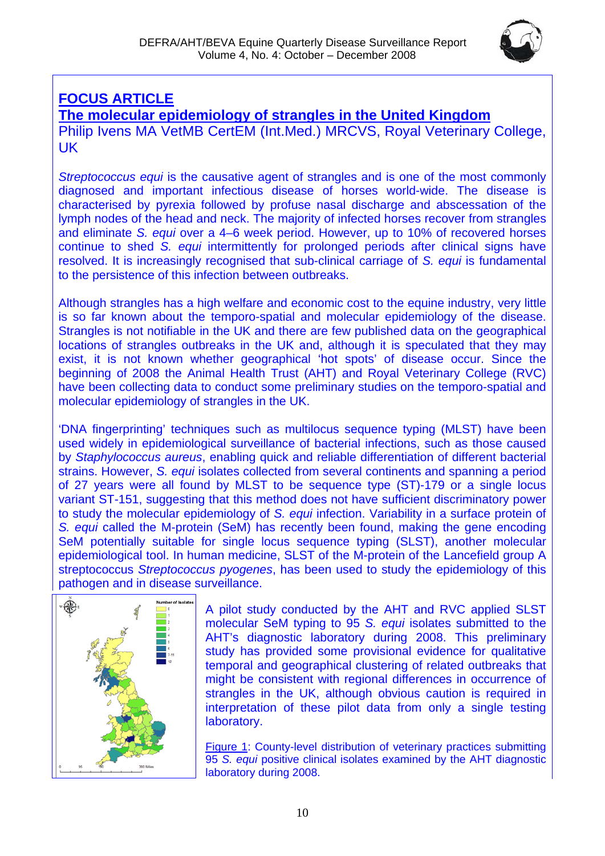

# **FOCUS ARTICLE**

**The molecular epidemiology of strangles in the United Kingdom** Philip Ivens MA VetMB CertEM (Int.Med.) MRCVS, Royal Veterinary College, UK

*Streptococcus equi* is the causative agent of strangles and is one of the most commonly diagnosed and important infectious disease of horses world-wide. The disease is characterised by pyrexia followed by profuse nasal discharge and abscessation of the lymph nodes of the head and neck. The majority of infected horses recover from strangles and eliminate *S. equi* over a 4–6 week period. However, up to 10% of recovered horses continue to shed *S. equi* intermittently for prolonged periods after clinical signs have resolved. It is increasingly recognised that sub-clinical carriage of *S. equi* is fundamental to the persistence of this infection between outbreaks.

Although strangles has a high welfare and economic cost to the equine industry, very little is so far known about the temporo-spatial and molecular epidemiology of the disease. Strangles is not notifiable in the UK and there are few published data on the geographical locations of strangles outbreaks in the UK and, although it is speculated that they may exist, it is not known whether geographical 'hot spots' of disease occur. Since the beginning of 2008 the Animal Health Trust (AHT) and Royal Veterinary College (RVC) have been collecting data to conduct some preliminary studies on the temporo-spatial and molecular epidemiology of strangles in the UK.

'DNA fingerprinting' techniques such as multilocus sequence typing (MLST) have been used widely in epidemiological surveillance of bacterial infections, such as those caused by *Staphylococcus aureus*, enabling quick and reliable differentiation of different bacterial strains. However, *S. equi* isolates collected from several continents and spanning a period of 27 years were all found by MLST to be sequence type (ST)-179 or a single locus variant ST-151, suggesting that this method does not have sufficient discriminatory power to study the molecular epidemiology of *S. equi* infection. Variability in a surface protein of *S. equi* called the M-protein (SeM) has recently been found, making the gene encoding SeM potentially suitable for single locus sequence typing (SLST), another molecular epidemiological tool. In human medicine, SLST of the M-protein of the Lancefield group A streptococcus *Streptococcus pyogenes*, has been used to study the epidemiology of this pathogen and in disease surveillance.



A pilot study conducted by the AHT and RVC applied SLST molecular SeM typing to 95 *S. equi* isolates submitted to the AHT's diagnostic laboratory during 2008. This preliminary study has provided some provisional evidence for qualitative temporal and geographical clustering of related outbreaks that might be consistent with regional differences in occurrence of strangles in the UK, although obvious caution is required in interpretation of these pilot data from only a single testing laboratory.

Figure 1: County-level distribution of veterinary practices submitting 95 *S. equi* positive clinical isolates examined by the AHT diagnostic laboratory during 2008.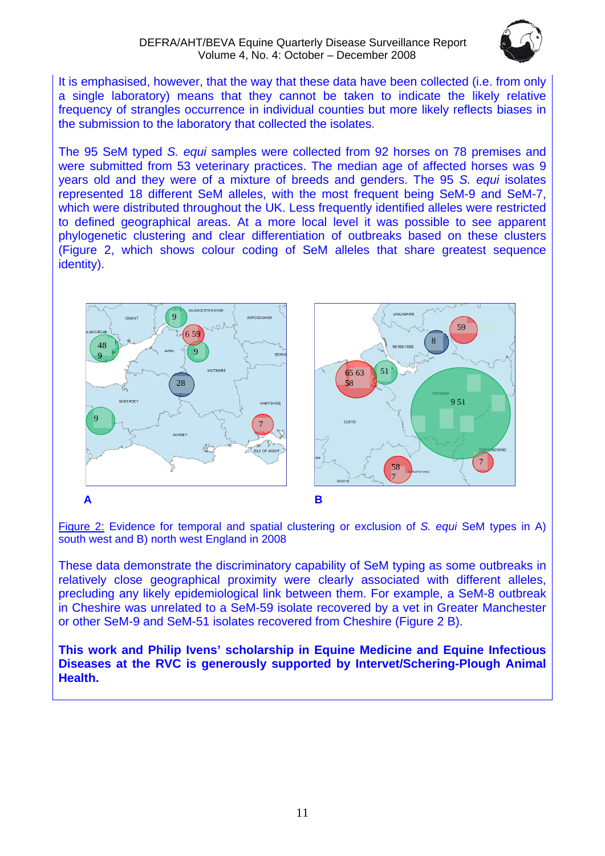### DEFRA/AHT/BEVA Equine Quarterly Disease Surveillance Report Volume 4, No. 4: October – December 2008



It is emphasised, however, that the way that these data have been collected (i.e. from only a single laboratory) means that they cannot be taken to indicate the likely relative frequency of strangles occurrence in individual counties but more likely reflects biases in the submission to the laboratory that collected the isolates.

The 95 SeM typed *S. equi* samples were collected from 92 horses on 78 premises and were submitted from 53 veterinary practices. The median age of affected horses was 9 years old and they were of a mixture of breeds and genders. The 95 *S. equi* isolates represented 18 different SeM alleles, with the most frequent being SeM-9 and SeM-7, which were distributed throughout the UK. Less frequently identified alleles were restricted to defined geographical areas. At a more local level it was possible to see apparent phylogenetic clustering and clear differentiation of outbreaks based on these clusters (Figure 2, which shows colour coding of SeM alleles that share greatest sequence identity).



Figure 2: Evidence for temporal and spatial clustering or exclusion of *S. equi* SeM types in A) south west and B) north west England in 2008

These data demonstrate the discriminatory capability of SeM typing as some outbreaks in relatively close geographical proximity were clearly associated with different alleles, precluding any likely epidemiological link between them. For example, a SeM-8 outbreak in Cheshire was unrelated to a SeM-59 isolate recovered by a vet in Greater Manchester or other SeM-9 and SeM-51 isolates recovered from Cheshire (Figure 2 B).

**This work and Philip Ivens' scholarship in Equine Medicine and Equine Infectious Diseases at the RVC is generously supported by Intervet/Schering-Plough Animal Health.**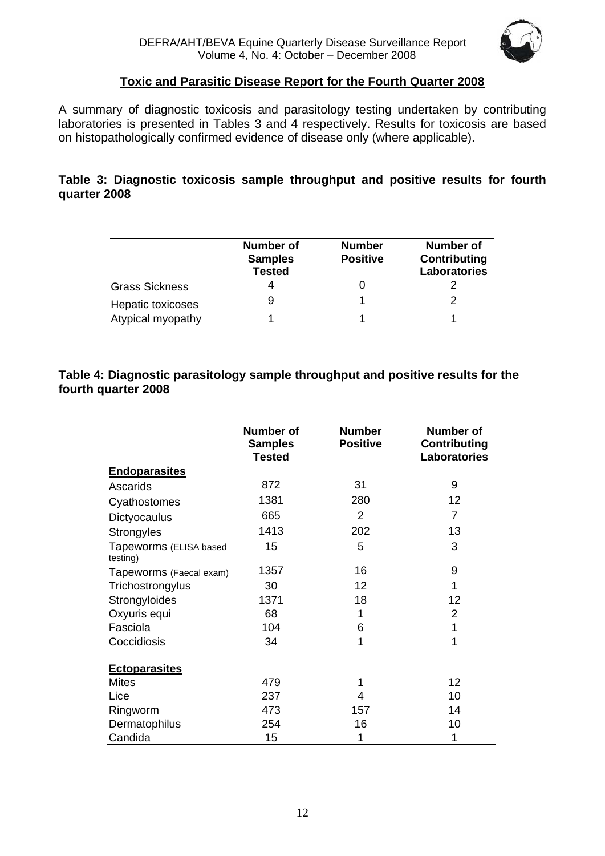

### **Toxic and Parasitic Disease Report for the Fourth Quarter 2008**

A summary of diagnostic toxicosis and parasitology testing undertaken by contributing laboratories is presented in Tables 3 and 4 respectively. Results for toxicosis are based on histopathologically confirmed evidence of disease only (where applicable).

### **Table 3: Diagnostic toxicosis sample throughput and positive results for fourth quarter 2008**

|                       | <b>Number of</b><br><b>Samples</b><br><b>Tested</b> | <b>Number</b><br><b>Positive</b> | Number of<br>Contributing<br>Laboratories |
|-----------------------|-----------------------------------------------------|----------------------------------|-------------------------------------------|
| <b>Grass Sickness</b> |                                                     |                                  |                                           |
| Hepatic toxicoses     | 9                                                   |                                  |                                           |
| Atypical myopathy     |                                                     |                                  |                                           |

### **Table 4: Diagnostic parasitology sample throughput and positive results for the fourth quarter 2008**

|                                    | <b>Number of</b><br><b>Samples</b><br><b>Tested</b> | <b>Number</b><br><b>Positive</b> | <b>Number of</b><br><b>Contributing</b><br>Laboratories |
|------------------------------------|-----------------------------------------------------|----------------------------------|---------------------------------------------------------|
| <b>Endoparasites</b>               |                                                     |                                  |                                                         |
| Ascarids                           | 872                                                 | 31                               | 9                                                       |
| Cyathostomes                       | 1381                                                | 280                              | 12                                                      |
| Dictyocaulus                       | 665                                                 | $\overline{2}$                   | 7                                                       |
| <b>Strongyles</b>                  | 1413                                                | 202                              | 13                                                      |
| Tapeworms (ELISA based<br>testing) | 15                                                  | 5                                | 3                                                       |
| Tapeworms (Faecal exam)            | 1357                                                | 16                               | 9                                                       |
| Trichostrongylus                   | 30                                                  | 12                               | 1                                                       |
| Strongyloides                      | 1371                                                | 18                               | 12                                                      |
| Oxyuris equi                       | 68                                                  | 1                                | $\overline{2}$                                          |
| Fasciola                           | 104                                                 | 6                                | 1                                                       |
| Coccidiosis                        | 34                                                  | 1                                | 1                                                       |
| <b>Ectoparasites</b>               |                                                     |                                  |                                                         |
| <b>Mites</b>                       | 479                                                 | 1                                | 12                                                      |
| Lice                               | 237                                                 | 4                                | 10                                                      |
| Ringworm                           | 473                                                 | 157                              | 14                                                      |
| Dermatophilus                      | 254                                                 | 16                               | 10                                                      |
| Candida                            | 15                                                  | 1                                | 1                                                       |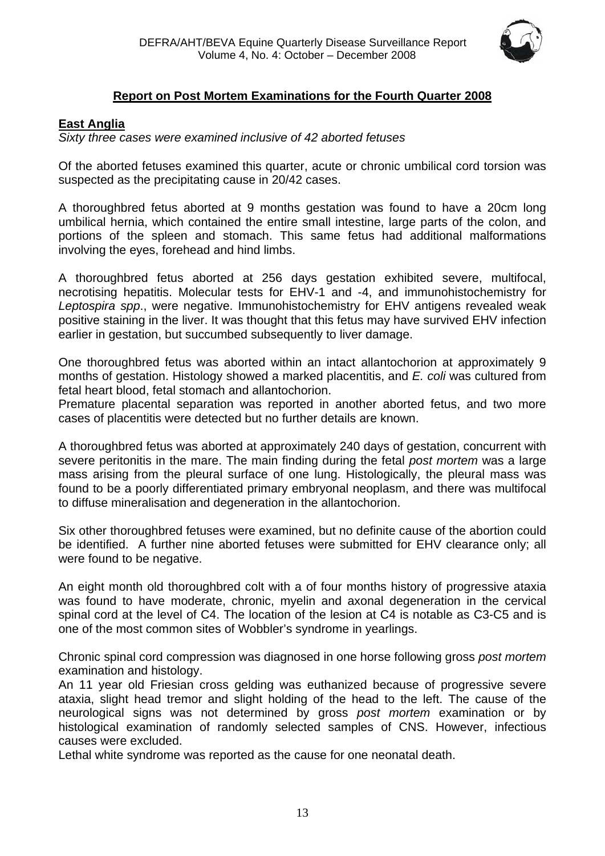

### **Report on Post Mortem Examinations for the Fourth Quarter 2008**

### **East Anglia**

### *Sixty three cases were examined inclusive of 42 aborted fetuses*

Of the aborted fetuses examined this quarter, acute or chronic umbilical cord torsion was suspected as the precipitating cause in 20/42 cases.

A thoroughbred fetus aborted at 9 months gestation was found to have a 20cm long umbilical hernia, which contained the entire small intestine, large parts of the colon, and portions of the spleen and stomach. This same fetus had additional malformations involving the eyes, forehead and hind limbs.

A thoroughbred fetus aborted at 256 days gestation exhibited severe, multifocal, necrotising hepatitis. Molecular tests for EHV-1 and -4, and immunohistochemistry for *Leptospira spp*., were negative. Immunohistochemistry for EHV antigens revealed weak positive staining in the liver. It was thought that this fetus may have survived EHV infection earlier in gestation, but succumbed subsequently to liver damage.

One thoroughbred fetus was aborted within an intact allantochorion at approximately 9 months of gestation. Histology showed a marked placentitis, and *E. coli* was cultured from fetal heart blood, fetal stomach and allantochorion.

Premature placental separation was reported in another aborted fetus, and two more cases of placentitis were detected but no further details are known.

A thoroughbred fetus was aborted at approximately 240 days of gestation, concurrent with severe peritonitis in the mare. The main finding during the fetal *post mortem* was a large mass arising from the pleural surface of one lung. Histologically, the pleural mass was found to be a poorly differentiated primary embryonal neoplasm, and there was multifocal to diffuse mineralisation and degeneration in the allantochorion.

Six other thoroughbred fetuses were examined, but no definite cause of the abortion could be identified. A further nine aborted fetuses were submitted for EHV clearance only; all were found to be negative.

An eight month old thoroughbred colt with a of four months history of progressive ataxia was found to have moderate, chronic, myelin and axonal degeneration in the cervical spinal cord at the level of C4. The location of the lesion at C4 is notable as C3-C5 and is one of the most common sites of Wobbler's syndrome in yearlings.

Chronic spinal cord compression was diagnosed in one horse following gross *post mortem* examination and histology.

An 11 year old Friesian cross gelding was euthanized because of progressive severe ataxia, slight head tremor and slight holding of the head to the left. The cause of the neurological signs was not determined by gross *post mortem* examination or by histological examination of randomly selected samples of CNS. However, infectious causes were excluded.

Lethal white syndrome was reported as the cause for one neonatal death.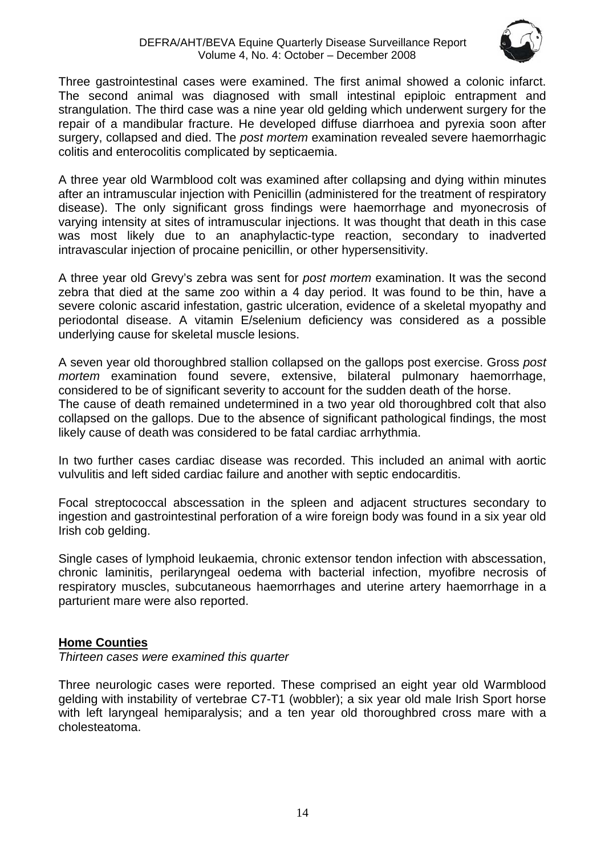### DEFRA/AHT/BEVA Equine Quarterly Disease Surveillance Report Volume 4, No. 4: October – December 2008



Three gastrointestinal cases were examined. The first animal showed a colonic infarct. The second animal was diagnosed with small intestinal epiploic entrapment and strangulation. The third case was a nine year old gelding which underwent surgery for the repair of a mandibular fracture. He developed diffuse diarrhoea and pyrexia soon after surgery, collapsed and died. The *post mortem* examination revealed severe haemorrhagic colitis and enterocolitis complicated by septicaemia.

A three year old Warmblood colt was examined after collapsing and dying within minutes after an intramuscular injection with Penicillin (administered for the treatment of respiratory disease). The only significant gross findings were haemorrhage and myonecrosis of varying intensity at sites of intramuscular injections. It was thought that death in this case was most likely due to an anaphylactic-type reaction, secondary to inadverted intravascular injection of procaine penicillin, or other hypersensitivity.

A three year old Grevy's zebra was sent for *post mortem* examination. It was the second zebra that died at the same zoo within a 4 day period. It was found to be thin, have a severe colonic ascarid infestation, gastric ulceration, evidence of a skeletal myopathy and periodontal disease. A vitamin E/selenium deficiency was considered as a possible underlying cause for skeletal muscle lesions.

A seven year old thoroughbred stallion collapsed on the gallops post exercise. Gross *post mortem* examination found severe, extensive, bilateral pulmonary haemorrhage, considered to be of significant severity to account for the sudden death of the horse. The cause of death remained undetermined in a two year old thoroughbred colt that also collapsed on the gallops. Due to the absence of significant pathological findings, the most likely cause of death was considered to be fatal cardiac arrhythmia.

In two further cases cardiac disease was recorded. This included an animal with aortic vulvulitis and left sided cardiac failure and another with septic endocarditis.

Focal streptococcal abscessation in the spleen and adjacent structures secondary to ingestion and gastrointestinal perforation of a wire foreign body was found in a six year old Irish cob gelding.

Single cases of lymphoid leukaemia, chronic extensor tendon infection with abscessation, chronic laminitis, perilaryngeal oedema with bacterial infection, myofibre necrosis of respiratory muscles, subcutaneous haemorrhages and uterine artery haemorrhage in a parturient mare were also reported.

### **Home Counties**

*Thirteen cases were examined this quarter* 

Three neurologic cases were reported. These comprised an eight year old Warmblood gelding with instability of vertebrae C7-T1 (wobbler); a six year old male Irish Sport horse with left laryngeal hemiparalysis; and a ten year old thoroughbred cross mare with a cholesteatoma.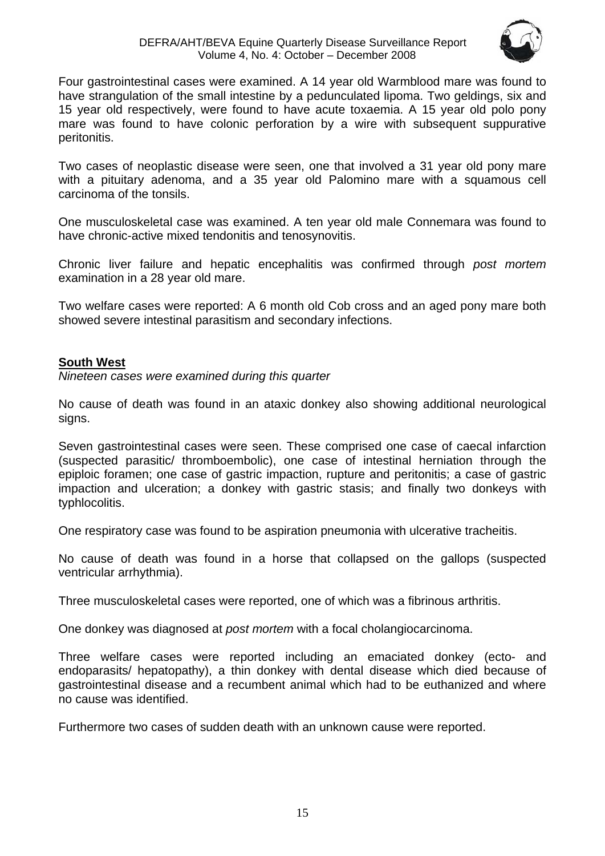

Four gastrointestinal cases were examined. A 14 year old Warmblood mare was found to have strangulation of the small intestine by a pedunculated lipoma. Two geldings, six and 15 year old respectively, were found to have acute toxaemia. A 15 year old polo pony mare was found to have colonic perforation by a wire with subsequent suppurative peritonitis.

Two cases of neoplastic disease were seen, one that involved a 31 year old pony mare with a pituitary adenoma, and a 35 year old Palomino mare with a squamous cell carcinoma of the tonsils.

One musculoskeletal case was examined. A ten year old male Connemara was found to have chronic-active mixed tendonitis and tenosynovitis.

Chronic liver failure and hepatic encephalitis was confirmed through *post mortem* examination in a 28 year old mare.

Two welfare cases were reported: A 6 month old Cob cross and an aged pony mare both showed severe intestinal parasitism and secondary infections.

### **South West**

*Nineteen cases were examined during this quarter* 

No cause of death was found in an ataxic donkey also showing additional neurological signs.

Seven gastrointestinal cases were seen. These comprised one case of caecal infarction (suspected parasitic/ thromboembolic), one case of intestinal herniation through the epiploic foramen; one case of gastric impaction, rupture and peritonitis; a case of gastric impaction and ulceration; a donkey with gastric stasis; and finally two donkeys with typhlocolitis.

One respiratory case was found to be aspiration pneumonia with ulcerative tracheitis.

No cause of death was found in a horse that collapsed on the gallops (suspected ventricular arrhythmia).

Three musculoskeletal cases were reported, one of which was a fibrinous arthritis.

One donkey was diagnosed at *post mortem* with a focal cholangiocarcinoma.

Three welfare cases were reported including an emaciated donkey (ecto- and endoparasits/ hepatopathy), a thin donkey with dental disease which died because of gastrointestinal disease and a recumbent animal which had to be euthanized and where no cause was identified.

Furthermore two cases of sudden death with an unknown cause were reported.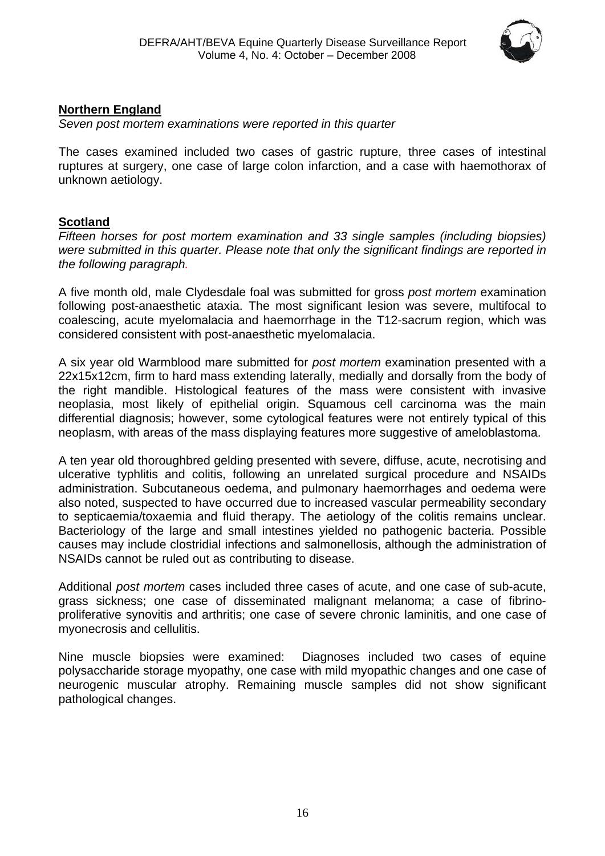

### **Northern England**

*Seven post mortem examinations were reported in this quarter*

The cases examined included two cases of gastric rupture, three cases of intestinal ruptures at surgery, one case of large colon infarction, and a case with haemothorax of unknown aetiology.

### **Scotland**

*Fifteen horses for post mortem examination and 33 single samples (including biopsies) were submitted in this quarter. Please note that only the significant findings are reported in the following paragraph.* 

A five month old, male Clydesdale foal was submitted for gross *post mortem* examination following post-anaesthetic ataxia. The most significant lesion was severe, multifocal to coalescing, acute myelomalacia and haemorrhage in the T12-sacrum region, which was considered consistent with post-anaesthetic myelomalacia.

A six year old Warmblood mare submitted for *post mortem* examination presented with a 22x15x12cm, firm to hard mass extending laterally, medially and dorsally from the body of the right mandible. Histological features of the mass were consistent with invasive neoplasia, most likely of epithelial origin. Squamous cell carcinoma was the main differential diagnosis; however, some cytological features were not entirely typical of this neoplasm, with areas of the mass displaying features more suggestive of ameloblastoma.

A ten year old thoroughbred gelding presented with severe, diffuse, acute, necrotising and ulcerative typhlitis and colitis, following an unrelated surgical procedure and NSAIDs administration. Subcutaneous oedema, and pulmonary haemorrhages and oedema were also noted, suspected to have occurred due to increased vascular permeability secondary to septicaemia/toxaemia and fluid therapy. The aetiology of the colitis remains unclear. Bacteriology of the large and small intestines yielded no pathogenic bacteria. Possible causes may include clostridial infections and salmonellosis, although the administration of NSAIDs cannot be ruled out as contributing to disease.

Additional *post mortem* cases included three cases of acute, and one case of sub-acute, grass sickness; one case of disseminated malignant melanoma; a case of fibrinoproliferative synovitis and arthritis; one case of severe chronic laminitis, and one case of myonecrosis and cellulitis.

Nine muscle biopsies were examined: Diagnoses included two cases of equine polysaccharide storage myopathy, one case with mild myopathic changes and one case of neurogenic muscular atrophy. Remaining muscle samples did not show significant pathological changes.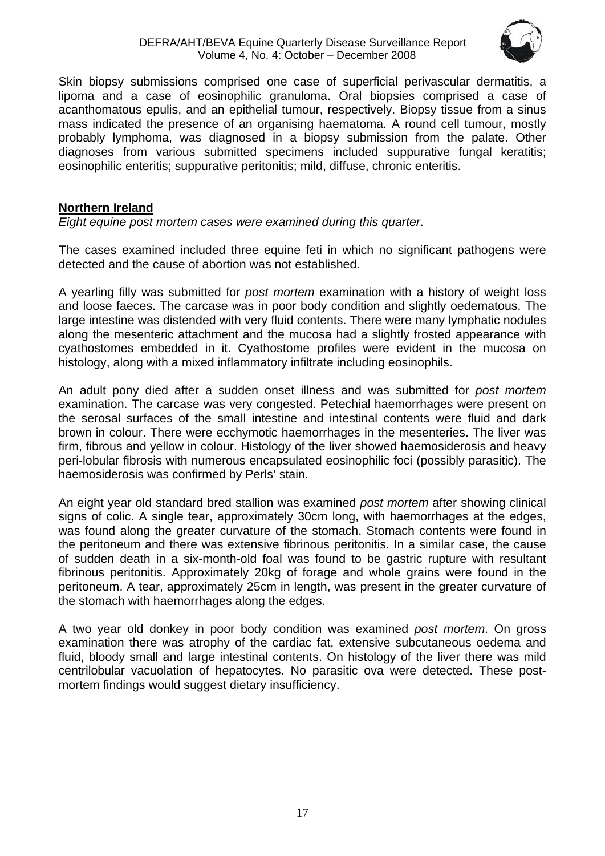### DEFRA/AHT/BEVA Equine Quarterly Disease Surveillance Report Volume 4, No. 4: October – December 2008



Skin biopsy submissions comprised one case of superficial perivascular dermatitis, a lipoma and a case of eosinophilic granuloma. Oral biopsies comprised a case of acanthomatous epulis, and an epithelial tumour, respectively. Biopsy tissue from a sinus mass indicated the presence of an organising haematoma. A round cell tumour, mostly probably lymphoma, was diagnosed in a biopsy submission from the palate. Other diagnoses from various submitted specimens included suppurative fungal keratitis; eosinophilic enteritis; suppurative peritonitis; mild, diffuse, chronic enteritis.

### **Northern Ireland**

*Eight equine post mortem cases were examined during this quarter*.

The cases examined included three equine feti in which no significant pathogens were detected and the cause of abortion was not established.

A yearling filly was submitted for *post mortem* examination with a history of weight loss and loose faeces. The carcase was in poor body condition and slightly oedematous. The large intestine was distended with very fluid contents. There were many lymphatic nodules along the mesenteric attachment and the mucosa had a slightly frosted appearance with cyathostomes embedded in it. Cyathostome profiles were evident in the mucosa on histology, along with a mixed inflammatory infiltrate including eosinophils.

An adult pony died after a sudden onset illness and was submitted for *post mortem* examination. The carcase was very congested. Petechial haemorrhages were present on the serosal surfaces of the small intestine and intestinal contents were fluid and dark brown in colour. There were ecchymotic haemorrhages in the mesenteries. The liver was firm, fibrous and yellow in colour. Histology of the liver showed haemosiderosis and heavy peri-lobular fibrosis with numerous encapsulated eosinophilic foci (possibly parasitic). The haemosiderosis was confirmed by Perls' stain.

An eight year old standard bred stallion was examined *post mortem* after showing clinical signs of colic. A single tear, approximately 30cm long, with haemorrhages at the edges, was found along the greater curvature of the stomach. Stomach contents were found in the peritoneum and there was extensive fibrinous peritonitis. In a similar case, the cause of sudden death in a six-month-old foal was found to be gastric rupture with resultant fibrinous peritonitis. Approximately 20kg of forage and whole grains were found in the peritoneum. A tear, approximately 25cm in length, was present in the greater curvature of the stomach with haemorrhages along the edges.

A two year old donkey in poor body condition was examined *post mortem*. On gross examination there was atrophy of the cardiac fat, extensive subcutaneous oedema and fluid, bloody small and large intestinal contents. On histology of the liver there was mild centrilobular vacuolation of hepatocytes. No parasitic ova were detected. These postmortem findings would suggest dietary insufficiency.